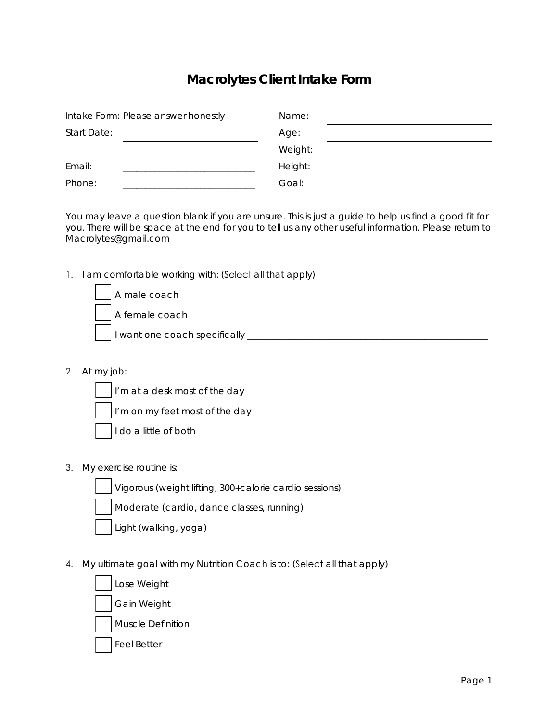## **Macrolytes Client Intake Form**

|             | Intake Form: Please answer honestly | Name:   |  |
|-------------|-------------------------------------|---------|--|
| Start Date: |                                     | Age:    |  |
|             |                                     | Weight: |  |
| Email:      |                                     | Height: |  |
| Phone:      |                                     | Goal:   |  |

*You may leave a question blank if you are unsure. This is just a guide to help us find a good fit for you. There will be space at the end for you to tell us any other useful information. Please return to Macrolytes@gmail.com* 

1. I am comfortable working with: (Select all that apply)

| A male coach                  |  |
|-------------------------------|--|
| A female coach                |  |
| I want one coach specifically |  |

2. At my job:

I'm at a desk most of the day I'm on my feet most of the day I do a little of both

3. My exercise routine is:

Vigorous (weight lifting, 300+calorie cardio sessions) b. Moderate (cardio, dance classes, running) Light (walking, yoga)

4. My ultimate goal with my Nutrition Coach is to: (Select all that apply)

Lose Weight **Gain Weight Muscle Definition** Feel Better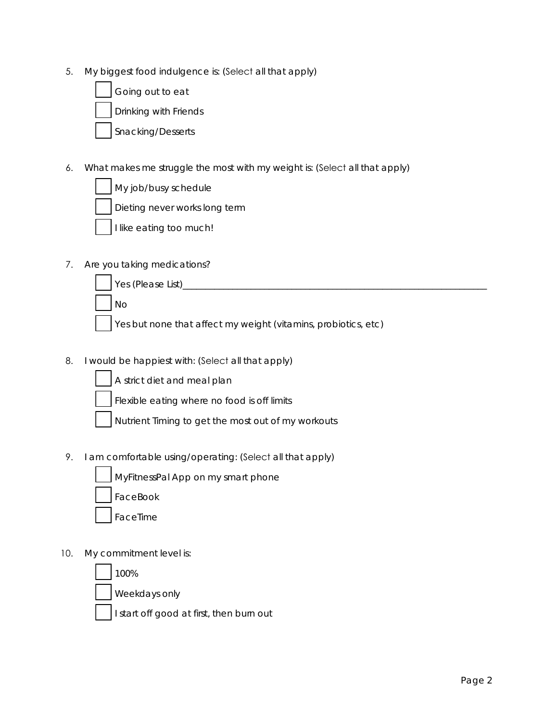5. My biggest food indulgence is: (Select all that apply)



6. What makes me struggle the most with my weight is: (Select all that apply)



7. Are you taking medications?



8. I would be happiest with: (Select all that apply)



A strict diet and meal plan

- Flexible eating where no food is off limits
- Nutrient Timing to get the most out of my workouts
- 9. I am comfortable using/operating: (Select all that apply)



MyFitnessPal App on my smart phone

**FaceBook** 

FaceTime

10. My commitment level is:

a. 100% Weekdays only

I start off good at first, then burn out